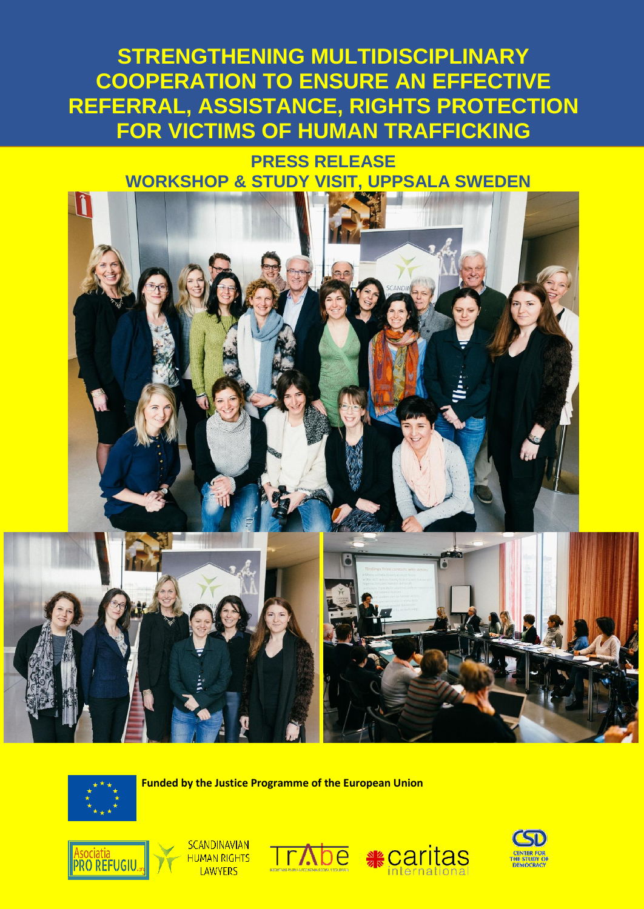## **STRENGTHENING MULTIDISCIPLINARY COOPERATION TO ENSURE AN EFFECTIVE REFERRAL, ASSISTANCE, RIGHTS PROTECTION FOR VICTIMS OF HUMAN TRAFFICKING**

## **PRESS RELEASE WORKSHOP & STUDY VISIT, UPPSALA SWEDEN**



 **Funded by the Justice Programme of the European Union**